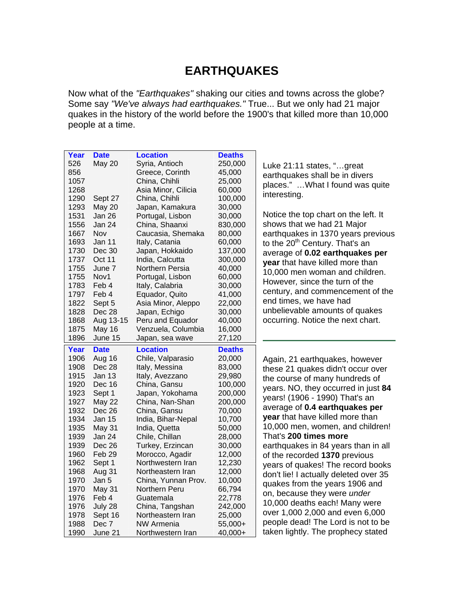### **EARTHQUAKES**

Now what of the *"Earthquakes"* shaking our cities and towns across the globe? Some say *"We've always had earthquakes."* True... But we only had 21 major quakes in the history of the world before the 1900's that killed more than 10,000 people at a time.

| Year         | <b>Date</b>      | <b>Location</b>                     | <b>Deaths</b>      |                                                                          |
|--------------|------------------|-------------------------------------|--------------------|--------------------------------------------------------------------------|
| 526          | <b>May 20</b>    | Syria, Antioch                      | 250,000            | Luke 21:11 states, "great                                                |
| 856          |                  | Greece, Corinth                     | 45,000             | earthquakes shall be in divers                                           |
| 1057         |                  | China, Chihli                       | 25,000             | places."  What I found was quite                                         |
| 1268         |                  | Asia Minor, Cilicia                 | 60,000             |                                                                          |
| 1290         | Sept 27          | China, Chihli                       | 100,000            | interesting.                                                             |
| 1293         | <b>May 20</b>    | Japan, Kamakura                     | 30,000             |                                                                          |
| 1531         | Jan 26           | Portugal, Lisbon                    | 30,000             | Notice the top chart on the left. It                                     |
| 1556         | Jan 24           | China, Shaanxi                      | 830,000            | shows that we had 21 Major                                               |
| 1667         | Nov              | Caucasia, Shemaka                   | 80,000             | earthquakes in 1370 years previous                                       |
| 1693         | Jan 11           | Italy, Catania                      | 60,000             | to the 20 <sup>th</sup> Century. That's an                               |
| 1730         | Dec 30           | Japan, Hokkaido                     | 137,000            | average of 0.02 earthquakes per                                          |
| 1737         | Oct 11           | India, Calcutta                     | 300,000            | year that have killed more than                                          |
| 1755         | June 7           | Northern Persia                     | 40,000             | 10,000 men woman and children.                                           |
| 1755         | Nov1             | Portugal, Lisbon                    | 60,000             |                                                                          |
| 1783         | Feb 4            | Italy, Calabria                     | 30,000             | However, since the turn of the                                           |
| 1797         | Feb 4            | Equador, Quito                      | 41,000             | century, and commencement of the                                         |
| 1822         | Sept 5           | Asia Minor, Aleppo                  | 22,000             | end times, we have had                                                   |
| 1828         | Dec 28           | Japan, Echigo                       | 30,000             | unbelievable amounts of quakes                                           |
| 1868         | Aug 13-15        | Peru and Equador                    | 40,000             | occurring. Notice the next chart.                                        |
| 1875         | May 16           | Venzuela, Columbia                  | 16,000             |                                                                          |
| 1896         | June 15          | Japan, sea wave                     | 27,120             |                                                                          |
|              |                  |                                     |                    |                                                                          |
| Year         | <b>Date</b>      | <b>Location</b>                     | <b>Deaths</b>      |                                                                          |
|              |                  |                                     |                    |                                                                          |
| 1906<br>1908 | Aug 16<br>Dec 28 | Chile, Valparasio<br>Italy, Messina | 20,000<br>83,000   | Again, 21 earthquakes, however                                           |
| 1915         | <b>Jan 13</b>    | Italy, Avezzano                     | 29,980             | these 21 quakes didn't occur over                                        |
| 1920         | Dec 16           |                                     |                    | the course of many hundreds of                                           |
| 1923         | Sept 1           | China, Gansu<br>Japan, Yokohama     | 100,000<br>200,000 | years. NO, they occurred in just 84                                      |
| 1927         | <b>May 22</b>    | China, Nan-Shan                     |                    | years! (1906 - 1990) That's an                                           |
| 1932         | Dec 26           | China, Gansu                        | 200,000<br>70,000  | average of 0.4 earthquakes per                                           |
| 1934         | <b>Jan 15</b>    | India, Bihar-Nepal                  | 10,700             | year that have killed more than                                          |
| 1935         | May 31           | India, Quetta                       | 50,000             | 10,000 men, women, and children!                                         |
| 1939         | Jan 24           | Chile, Chillan                      | 28,000             | That's 200 times more                                                    |
| 1939         | Dec 26           | Turkey, Erzincan                    | 30,000             |                                                                          |
| 1960         | Feb 29           | Morocco, Agadir                     | 12,000             | earthquakes in 84 years than in all                                      |
| 1962         | Sept 1           | Northwestern Iran                   | 12,230             | of the recorded 1370 previous                                            |
| 1968         | Aug 31           | Northeastern Iran                   | 12,000             | years of quakes! The record books                                        |
| 1970         | Jan 5            | China, Yunnan Prov.                 | 10,000             | don't lie! I actually deleted over 35                                    |
| 1970         | May 31           | Northern Peru                       | 66,794             | quakes from the years 1906 and                                           |
| 1976         | Feb 4            | Guatemala                           | 22,778             | on, because they were under                                              |
| 1976         | July 28          | China, Tangshan                     | 242,000            | 10,000 deaths each! Many were                                            |
| 1978         | Sept 16          | Northeastern Iran                   | 25,000             | over 1,000 2,000 and even 6,000                                          |
| 1988         | Dec 7            | NW Armenia                          | 55,000+            | people dead! The Lord is not to be<br>taken lightly. The prophecy stated |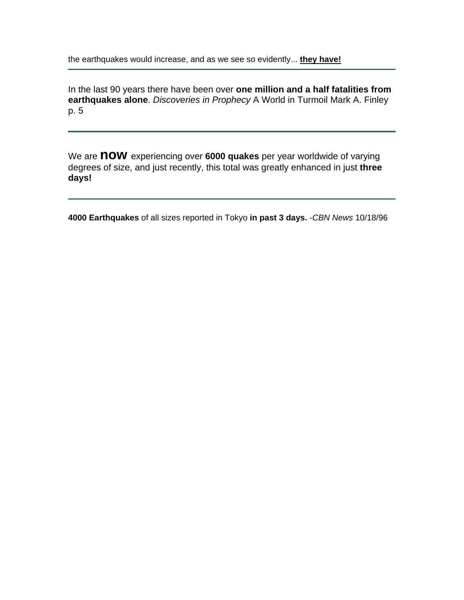the earthquakes would increase, and as we see so evidently... **they have!**

In the last 90 years there have been over **one million and a half fatalities from earthquakes alone**. *Discoveries in Prophecy* A World in Turmoil Mark A. Finley p. 5

We are **now** experiencing over **6000 quakes** per year worldwide of varying degrees of size, and just recently, this total was greatly enhanced in just **three days!**

**4000 Earthquakes** of all sizes reported in Tokyo **in past 3 days.** -*CBN News* 10/18/96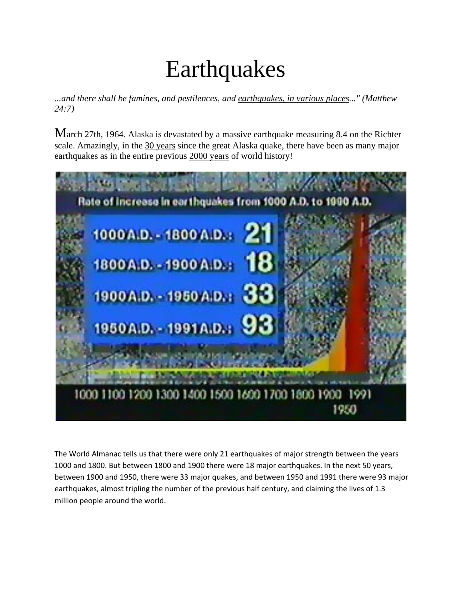# **Earthquakes**

*...and there shall be famines, and pestilences, and earthquakes, in various places..." [\(Matthew](http://countdown.org/armageddon/earthquakes.htm)  [24:7](http://countdown.org/armageddon/earthquakes.htm))*

March 27th, 1964. Alaska is devastated by a massive earthquake measuring 8.4 on the Richter scale. Amazingly, in the 30 years since the great Alaska quake, there have been as many major earthquakes as in the entire previous 2000 years of world history!



The World Almanac tells us that there were only 21 earthquakes of major strength between the years 1000 and 1800. But between 1800 and 1900 there were 18 major earthquakes. In the next 50 years, between 1900 and 1950, there were 33 major quakes, and between 1950 and 1991 there were 93 major earthquakes, almost tripling the number of the previous half century, and claiming the lives of 1.3 million people around the world.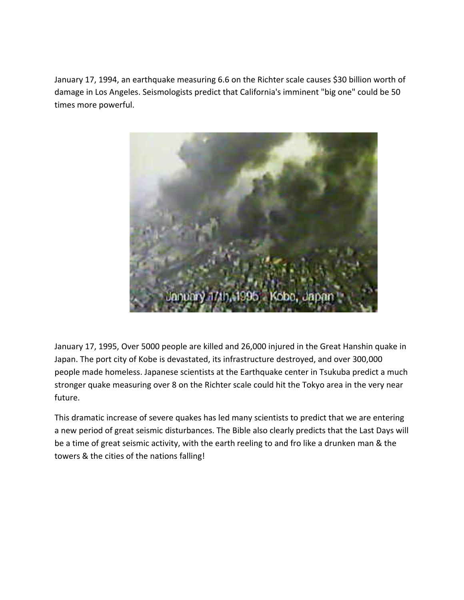January 17, 1994, an earthquake measuring 6.6 on the Richter scale causes \$30 billion worth of damage in Los Angeles. Seismologists predict that California's imminent "big one" could be 50 times more powerful.



January 17, 1995, Over 5000 people are killed and 26,000 injured in the Great Hanshin quake in Japan. The port city of Kobe is devastated, its infrastructure destroyed, and over 300,000 people made homeless. Japanese scientists at the Earthquake center in Tsukuba predict a much stronger quake measuring over 8 on the Richter scale could hit the Tokyo area in the very near future.

This dramatic increase of severe quakes has led many scientists to predict that we are entering a new period of great seismic disturbances. The Bible also clearly predicts that the Last Days will be a time of great seismic activity, with the earth reeling to and fro like a drunken man & the towers & the cities of the nations falling!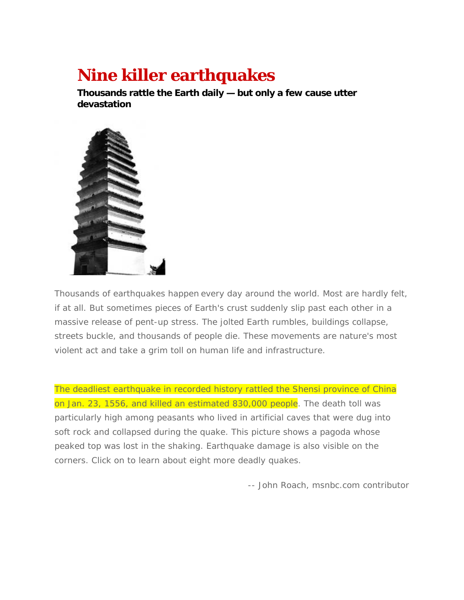### **Nine killer earthquakes**

**Thousands rattle the Earth daily — but only a few cause utter devastation** 



Thousands of earthquakes happen every day around the world. Most are hardly felt, if at all. But sometimes pieces of Earth's crust suddenly slip past each other in a massive release of pent-up stress. The jolted Earth rumbles, buildings collapse, streets buckle, and thousands of people die. These movements are nature's most violent act and take a grim toll on human life and infrastructure.

The deadliest earthquake in recorded history rattled the Shensi province of China on Jan. 23, 1556, and killed an estimated 830,000 people. The death toll was particularly high among peasants who lived in artificial caves that were dug into soft rock and collapsed during the quake. This picture shows a pagoda whose peaked top was lost in the shaking. Earthquake damage is also visible on the corners. Click on to learn about eight more deadly quakes.

*-- John Roach, msnbc.com contributor*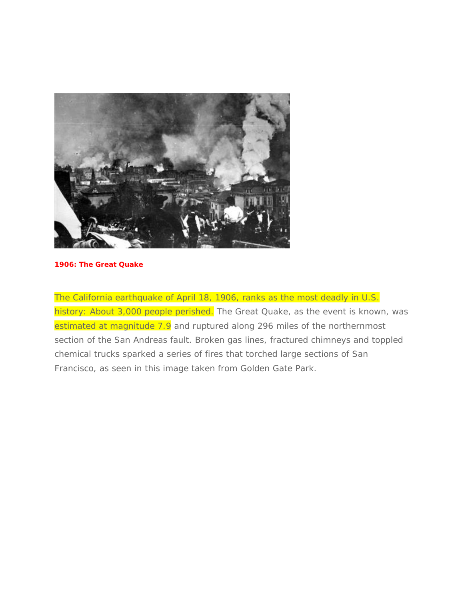

#### **1906: The Great Quake**

The California earthquake of April 18, 1906, ranks as the most deadly in U.S. history: About 3,000 people perished. The Great Quake, as the event is known, was estimated at magnitude 7.9 and ruptured along 296 miles of the northernmost section of the San Andreas fault. Broken gas lines, fractured chimneys and toppled chemical trucks sparked a series of fires that torched large sections of San Francisco, as seen in this image taken from Golden Gate Park.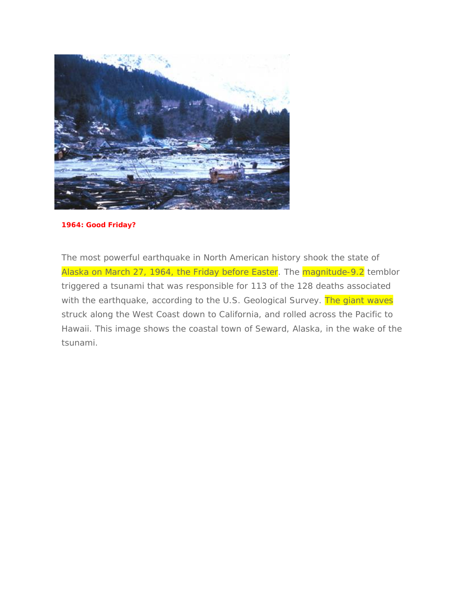

#### **1964: Good Friday?**

The most powerful earthquake in North American history shook the state of Alaska on March 27, 1964, the Friday before Easter. The **magnitude-9.2** temblor triggered a tsunami that was responsible for 113 of the 128 deaths associated with the earthquake, according to the U.S. Geological Survey. The giant waves struck along the West Coast down to California, and rolled across the Pacific to Hawaii. This image shows the coastal town of Seward, Alaska, in the wake of the tsunami.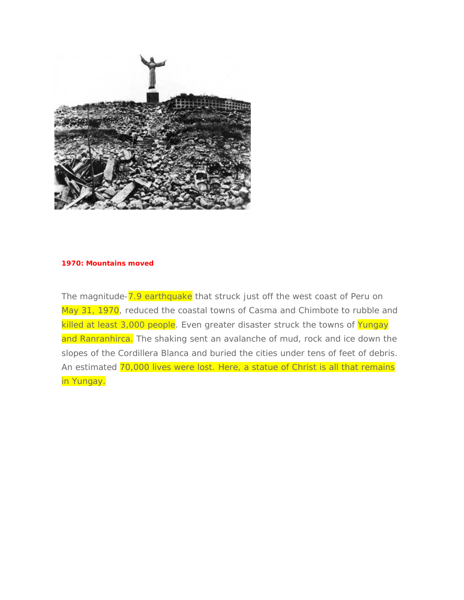

#### **1970: Mountains moved**

The magnitude-7.9 earthquake that struck just off the west coast of Peru on May 31, 1970, reduced the coastal towns of Casma and Chimbote to rubble and killed at least 3,000 people. Even greater disaster struck the towns of Yungay and Ranranhirca. The shaking sent an avalanche of mud, rock and ice down the slopes of the Cordillera Blanca and buried the cities under tens of feet of debris. An estimated 70,000 lives were lost. Here, a statue of Christ is all that remains in Yungay.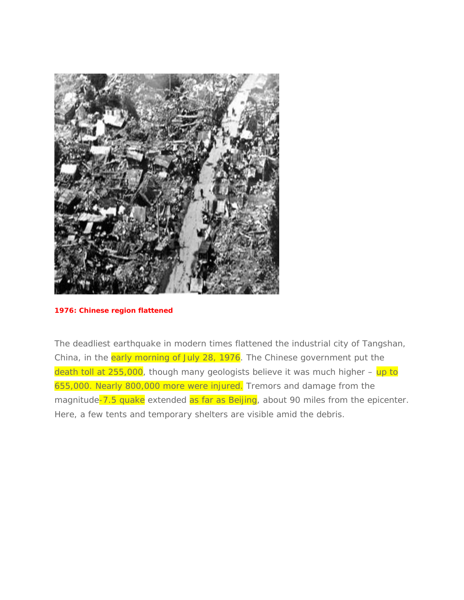

#### **1976: Chinese region flattened**

The deadliest earthquake in modern times flattened the industrial city of Tangshan, China, in the early morning of July 28, 1976. The Chinese government put the death toll at 255,000, though many geologists believe it was much higher - up to 655,000. Nearly 800,000 more were injured. Tremors and damage from the magnitude-7.5 quake extended as far as Beijing, about 90 miles from the epicenter. Here, a few tents and temporary shelters are visible amid the debris.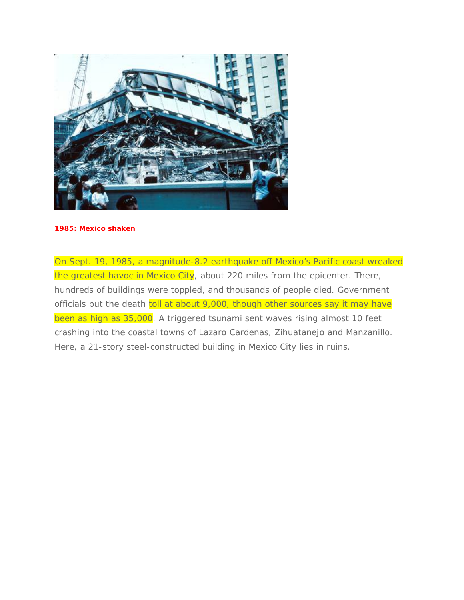

#### **1985: Mexico shaken**

On Sept. 19, 1985, a magnitude-8.2 earthquake off Mexico's Pacific coast wreaked the greatest havoc in Mexico City, about 220 miles from the epicenter. There, hundreds of buildings were toppled, and thousands of people died. Government officials put the death toll at about 9,000, though other sources say it may have been as high as 35,000. A triggered tsunami sent waves rising almost 10 feet crashing into the coastal towns of Lazaro Cardenas, Zihuatanejo and Manzanillo. Here, a 21-story steel-constructed building in Mexico City lies in ruins.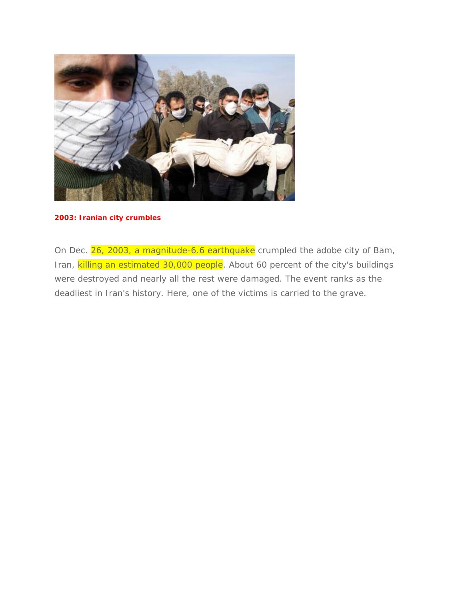

#### **2003: Iranian city crumbles**

On Dec. 26, 2003, a magnitude-6.6 earthquake crumpled the adobe city of Bam, Iran, killing an estimated 30,000 people. About 60 percent of the city's buildings were destroyed and nearly all the rest were damaged. The event ranks as the deadliest in Iran's history. Here, one of the victims is carried to the grave.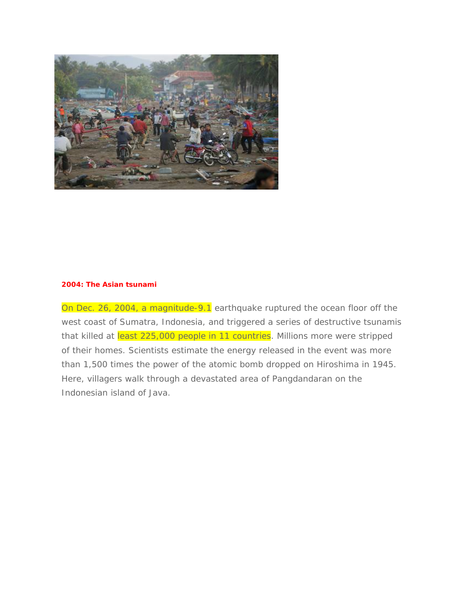

#### **2004: The Asian tsunami**

On Dec. 26, 2004, a magnitude-9.1 earthquake ruptured the ocean floor off the west coast of Sumatra, Indonesia, and triggered a series of destructive tsunamis that killed at least 225,000 people in 11 countries. Millions more were stripped of their homes. Scientists estimate the energy released in the event was more than 1,500 times the power of the atomic bomb dropped on Hiroshima in 1945. Here, villagers walk through a devastated area of Pangdandaran on the Indonesian island of Java.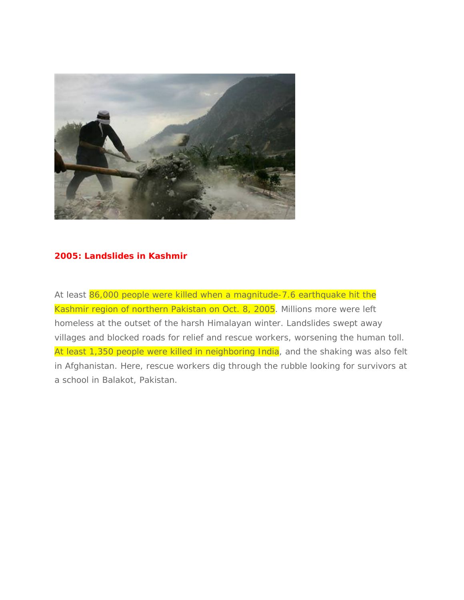

#### **2005: Landslides in Kashmir**

At least 86,000 people were killed when a magnitude-7.6 earthquake hit the Kashmir region of northern Pakistan on Oct. 8, 2005. Millions more were left homeless at the outset of the harsh Himalayan winter. Landslides swept away villages and blocked roads for relief and rescue workers, worsening the human toll. At least 1,350 people were killed in neighboring India, and the shaking was also felt in Afghanistan. Here, rescue workers dig through the rubble looking for survivors at a school in Balakot, Pakistan.